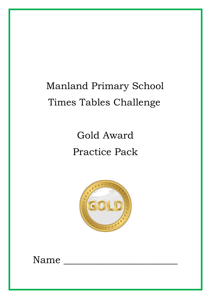# Manland Primary School Times Tables Challenge

# Gold Award Practice Pack



Name \_\_\_\_\_\_\_\_\_\_\_\_\_\_\_\_\_\_\_\_\_\_\_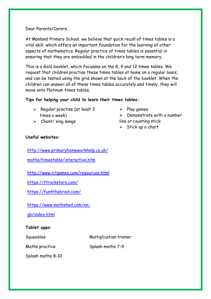Dear Parents/Carers,

At Manland Primary School, we believe that quick recall of times tables is a vital skill, which offers an important foundation for the learning of other aspects of mathematics. Regular practice of times tables is essential in ensuring that they are embedded in the children's long term memory.

This is a Gold booklet, which focusses on the 8, 9 and 12 times tables. We request that children practise these times tables at home on a regular basis, and can be tested using the grid shown at the back of the booklet. When the children can answer all of these times tables accurately and timely, they will move onto Platinum times tables.

### **Tips for helping your child to learn their times tables:**

- $\triangleright$  Regular practise (at least 3 times a week)
- ➢ Chant/ sing songs
- $\triangleright$  Play games
- $\triangleright$  Demonstrate with a number line or counting stick
- $\triangleright$  Stick up a chart

### **Useful websites:**

[http://www.primaryhomeworkhelp.co.uk/](http://www.primaryhomeworkhelp.co.uk/maths/timestable/interactive.htm)

[maths/timestable/interactive.htm](http://www.primaryhomeworkhelp.co.uk/maths/timestable/interactive.htm)

<http://www.ictgames.com/resources.html>

<https://ttrockstars.com/>

<https://fun4thebrain.com/>

[https://www.mathshed.com/en-](https://www.mathshed.com/en-gb/index.html)

[gb/index.html](https://www.mathshed.com/en-gb/index.html)

### **Tablet apps:**

Squeebles Multiplication trainer

Splash maths 8-10

Maths practice Splash maths 7-9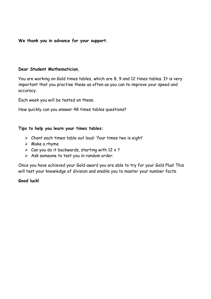**We thank you in advance for your support.**

#### **Dear Student Mathematician**,

You are working on Gold times tables, which are 8, 9 and 12 times tables. It is very important that you practise these as often as you can to improve your speed and accuracy.

Each week you will be tested on these.

How quickly can you answer 48 times tables questions?

#### **Tips to help you learn your times tables:**

- ➢ Chant each times table out loud: 'four times two is eight'
- $\triangleright$  Make a rhyme
- $\triangleright$  Can you do it backwards, starting with 12 x ?
- $\triangleright$  Ask someone to test you in random order.

Once you have achieved your Gold award you are able to try for your Gold Plus! This will test your knowledge of division and enable you to master your number facts.

### **Good luck!**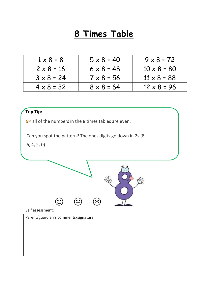## **8 Times Table**

| $1 \times 8 = 8$  | $5 \times 8 = 40$ | $9 \times 8 = 72$  |
|-------------------|-------------------|--------------------|
| $2 \times 8 = 16$ | $6 \times 8 = 48$ | $10 \times 8 = 80$ |
| $3 \times 8 = 24$ | $7 \times 8 = 56$ | $11 \times 8 = 88$ |
| $4 \times 8 = 32$ | $8 \times 8 = 64$ | $12 \times 8 = 96$ |

### **Top Tip:**

**8×** all of the numbers in the 8 times tables are even.

Can you spot the pattern? The ones digits go down in 2s (8,

6, 4, 2, 0)



Self assessment:

Parent/guardian's comments/signature: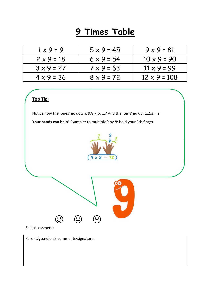## **9 Times Table**

| $1 \times 9 = 9$  | $5 \times 9 = 45$ | $9 \times 9 = 81$   |
|-------------------|-------------------|---------------------|
| $2 \times 9 = 18$ | $6 \times 9 = 54$ | $10 \times 9 = 90$  |
| $3 \times 9 = 27$ | $7 \times 9 = 63$ | $11 \times 9 = 99$  |
| $4 \times 9 = 36$ | $8 \times 9 = 72$ | $12 \times 9 = 108$ |

### **Top Tip:**

Notice how the 'ones' go down: 9,8,7,6, ...? And the 'tens' go up: 1,2,3,...?

**Your hands can help**! Example: to multiply 9 by 8: hold your 8th finger





#### Self assessment:

Parent/guardian's comments/signature: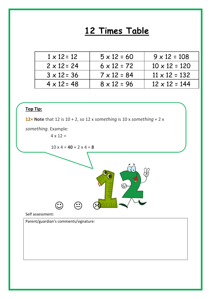### **12 Times Table**

| $1 \times 12 = 12$ | $5 \times 12 = 60$ | $9 \times 12 = 108$  |
|--------------------|--------------------|----------------------|
| $2 \times 12 = 24$ | $6 \times 12 = 72$ | $10 \times 12 = 120$ |
| $3 \times 12 = 36$ | $7 \times 12 = 84$ | $11 \times 12 = 132$ |
| $4 \times 12 = 48$ | $8 \times 12 = 96$ | $12 \times 12 = 144$ |



**12× Note** that 12 is 10 + 2, so 12 x *something* is 10 x *something* + 2 x

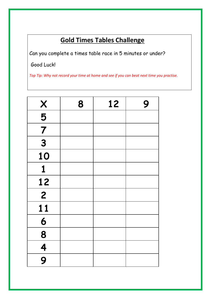### **Gold Times Tables Challenge**

Can you complete a times table race in 5 minutes or under?

Good Luck!

*Top Tip: Why not record your time at home and see if you can beat next time you practise.*

| X                                    | 8 | 12 | 9 |
|--------------------------------------|---|----|---|
| $\overline{\overline{\overline{5}}}$ |   |    |   |
| $\overline{7}$                       |   |    |   |
| 3                                    |   |    |   |
| 10                                   |   |    |   |
| 1                                    |   |    |   |
| 12                                   |   |    |   |
| $\overline{2}$                       |   |    |   |
| 11                                   |   |    |   |
| 6                                    |   |    |   |
| 8                                    |   |    |   |
| 4                                    |   |    |   |
| 9                                    |   |    |   |